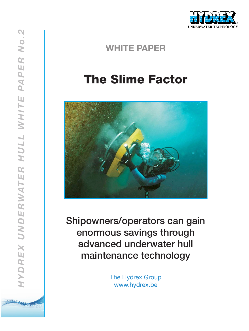

# The Slime Factor



Shipowners/operators can gain enormous savings through advanced underwater hull maintenance technology

> The Hydrex Group www.hydrex.be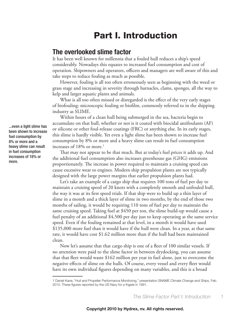### Part I. Introduction

#### **The overlooked slime factor**

It has been well known for millennia that a fouled hull reduces a ship's speed considerably. Nowadays this equates to increased fuel consumption and cost of operation. Shipowners and operators, officers and managers are well aware of this and take steps to reduce fouling as much as possible.

However, fouling is all too often erroneously seen as beginning with the weed or grass stage and increasing in severity through barnacles, clams, sponges, all the way to kelp and larger aquatic plants and animals.

What is all too often missed or disregarded is the effect of the very early stages of biofouling: microscopic fouling or biofilm, commonly referred to in the shipping industry as SLIME.

Within hours of a clean hull being submerged in the sea, bacteria begin to accumulate on that hull, whether or not is it coated with biocidal antifoulants (AF) or silicone or other foul-release coatings (FRC) or anything else. In its early stages, this slime is hardly visible. Yet even a light slime has been shown to increase fuel consumption by 8% or more and a heavy slime can result in fuel consumption increases of  $18\%$  or more.<sup>1</sup>

That may not appear to be that much. But at today's fuel prices it adds up. And the additional fuel consumption also increases greenhouse gas (GHG) emissions proportionately. The increase in power required to maintain a cruising speed can cause excessive wear to engines. Modern ship propulsion plants are not typically designed with the large power margins that earlier propulsion plants had.

Let's take an example of a cargo ship that requires 100 tons of fuel per day to maintain a cruising speed of 20 knots with a completely smooth and unfouled hull, the way it was at its first speed trials. If that ship were to build up a thin layer of slime in a month and a thick layer of slime in two months, by the end of those two months of sailing, it would be requiring 110 tons of fuel per day to maintain the same cruising speed. Taking fuel at \$450 per ton, the slime build-up would cause a fuel penalty of an additional \$4,500 per day just to keep operating at the same service speed. Even if the fouling remained at that level, in a month it would have used \$135,000 more fuel than it would have if the hull were clean. In a year, at that same rate, it would have cost \$1.62 million more than if the hull had been maintained clean.

Now let's assume that that cargo ship is one of a fleet of 100 similar vessels. If no attention were paid to the slime factor in between drydocking, you can assume that that fleet would waste \$162 million per year in fuel alone, just to overcome the negative effects of slime on the hulls. Of course, every vessel and every fleet would have its own individual figures depending on many variables, and this is a broad

*The Slime Factor Part I: Introduction 1*

...even a light slime has been shown to increase fuel consumption by 8% or more and a heavy slime can result in fuel consumption increases of 18% or more.

<sup>1</sup> Daniel Kane, "Hull and Propeller Performance Monitoring," presentation SNAME Climate Change and Ships, Feb. 2010. These figures reported by the US Navy for a frigate in 1991.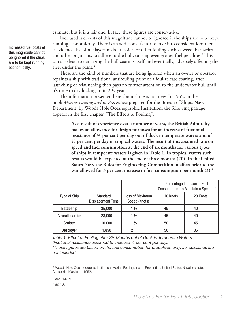estimate; but it is a fair one. In fact, these figures are conservative.

Increased fuel costs of this magnitude cannot be ignored if the ships are to be kept running economically. There is an additional factor to take into consideration: there is evidence that slime layers make it easier for other fouling such as weed, barnacles and other organisms to adhere to the hull, causing even greater fuel penalties.<sup>2</sup> This can also lead to damaging the hull coating itself and eventually, adversely affecting the steel under the paint.<sup>3</sup>

These are the kind of numbers that are being ignored when an owner or operator repaints a ship with traditional antifouling paint or a foul-release coating, after launching or relaunching then pays no further attention to the underwater hull until it's time to drydock again in 2 ½ years.

The information presented here about slime is not new. In 1952, in the book *Marine Fouling and its Prevention* prepared for the Bureau of Ships, Navy Department, by Woods Hole Oceanographic Institution, the following passage appears in the first chapter, "The Effects of Fouling":

> **As a result of experience over a number of years, the British Admiralty makes an allowance for design purposes for an increase of frictional resistance of ¼ per cent per day out of dock in temperate waters and of ½ per cent per day in tropical waters. The result of this assumed rate on speed and fuel consumption at the end of six months for various types of ships in temperate waters is given in Table 1. In tropical waters such results would be expected at the end of three months (20). In the United States Navy the Rules for Engineering Competition in effect prior to the war allowed for 3 per cent increase in fuel consumption per month (3).4**

|                   |                                      |                                  | Percentage Increase in Fuel<br>Consumption* to Maintain a Speed of |          |
|-------------------|--------------------------------------|----------------------------------|--------------------------------------------------------------------|----------|
| Type of Ship      | Standard<br><b>Displacement Tons</b> | Loss of Maximum<br>Speed (Knots) | 10 Knots                                                           | 20 Knots |
| <b>Battleship</b> | 35,000                               | $1\frac{1}{2}$                   | 45                                                                 | 40       |
| Aircraft carrier  | 23,000                               | $1\frac{1}{2}$                   | 45                                                                 | 40       |
| Cruiser           | 10,000                               | $1\frac{1}{2}$                   | 50                                                                 | 45       |
| <b>Destroyer</b>  | 1,850                                | 2                                | 50                                                                 | 35       |

*Table 1. Effect of Fouling after Six Months out of Dock in Temperate Waters (Frictional resistance assumed to increase ¼ per cent per day.)*

*\*These figures are based on the fuel consumption for propulsion only, i.e. auxiliaries are not included.*

Increased fuel costs of this magnitude cannot be ignored if the ships are to be kept running economically.

<sup>2</sup> Woods Hole Oceanographic Institution, Marine Fouling and Its Prevention, United States Naval Institute, Annapolis, Maryland, 1952: 44.

<sup>3</sup> *Ibid*. 14-19.

<sup>4</sup> *Ibid*. 3.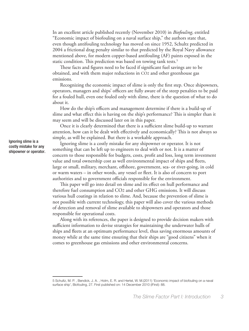In an excellent article published recently (November 2010) in *Biofouling*, entitled "Economic impact of biofouling on a naval surface ship," the authors state that, even though antifouling technology has moved on since 1952, Schultz predicted in 2004 a frictional drag penalty similar to that predicted by the Royal Navy allowance mentioned above, for modern copper-based antifouling (AF) paints exposed in the static condition. This prediction was based on towing tank tests.<sup>5</sup>

These facts and figures need to be faced if significant fuel savings are to be obtained, and with them major reductions in CO2 and other greenhouse gas emissions.

Recognizing the economic impact of slime is only the first step. Once shipowners, operators, managers and ships' officers are fully aware of the steep penalties to be paid for a fouled hull, even one fouled only with slime, there is the question of what to do about it.

How do the ship's officers and management determine if there is a build-up of slime and what effect this is having on the ship's performance? This is simpler than it may seem and will be discussed later on in this paper.

Once it is clearly determined that there is a sufficient slime build-up to warrant attention, how can it be dealt with effectively and economically? This is not always so simple, as will be explained. But there is a workable approach.

Ignoring slime is a costly mistake for any shipowner or operator. It is not something that can be left up to engineers to deal with or not. It is a matter of concern to those responsible for budgets, costs, profit and loss, long term investment value and total ownership cost as well environmental impact of ships and fleets, large or small, military, merchant, offshore, government, sea- or river-going, in cold or warm waters – in other words, any vessel or fleet. It is also of concern to port authorities and to government officials responsible for the environment.

This paper will go into detail on slime and its effect on hull performance and therefore fuel consumption and CO2 and other GHG emissions. It will discuss various hull coatings in relation to slime. And, because the prevention of slime is not possible with current technology, this paper will also cover the various methods of detection and removal of slime available to shipowners and operators and those responsible for operational costs.

Along with its references, the paper is designed to provide decision makers with sufficient information to devise strategies for maintaining the underwater hulls of ships and fleets at an optimum performance level, thus saving enormous amounts of money while at the same time ensuring that their ships are "good citizens" when it comes to greenhouse gas emissions and other environmental concerns.

Ignoring slime is a costly mistake for any shipowner or operator.

<sup>5</sup> Schultz, M. P. , Bendick, J. A. , Holm, E. R. and Hertel, W. M.(2011) 'Economic impact of biofouling on a naval surface ship', Biofouling, 27. First published on: 14 December 2010 (iFirst): 88.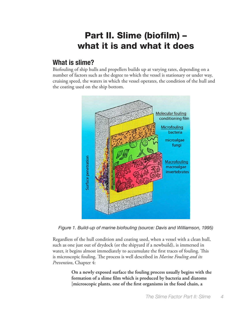## Part II. Slime (biofilm) – what it is and what it does

### **What is slime?**

Biofouling of ship hulls and propellers builds up at varying rates, depending on a number of factors such as the degree to which the vessel is stationary or under way, cruising speed, the waters in which the vessel operates, the condition of the hull and the coating used on the ship bottom.



*Figure 1. Build-up of marine biofouling (source: Davis and Williamson, 1995)*

Regardless of the hull condition and coating used, when a vessel with a clean hull, such as one just out of drydock (or the shipyard if a newbuild), is immersed in water, it begins almost immediately to accumulate the first traces of fouling. This is microscopic fouling. The process is well described in *Marine Fouling and its Prevention*, Chapter 4:

> **On a newly exposed surface the fouling process usually begins with the formation of a slime film which is produced by bacteria and diatoms [microscopic plants, one of the first organisms in the food chain, a**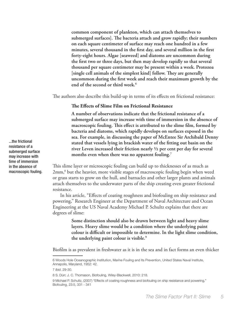**common component of plankton, which can attach themselves to submerged surfaces]. The bacteria attach and grow rapidly; their numbers on each square centimeter of surface may reach one hundred in a few minutes, several thousand in the first day, and several million in the first forty-eight hours. Algae [seaweed] and diatoms are uncommon during the first two or three days, but then may develop rapidly so that several thousand per square centimeter may be present within a week. Protozoa [single cell animals of the simplest kind] follow. They are generally uncommon during the first week and reach their maximum growth by the end of the second or third week.6**

The authors also describe this build-up in terms of its effects on frictional resistance:

#### **The Effects of Slime Film on Frictional Resistance**

**A number of observations indicate that the frictional resistance of a submerged surface may increase with time of immersion in the absence of macroscopic fouling. This effect is attributed to the slime film, formed by bacteria and diatoms, which rapidly develops on surfaces exposed in the sea. For example, in discussing the paper of McEntee Sir Archibald Denny stated that vessels lying in brackish water of the fitting out basin on the river Leven increased their friction nearly ½ per cent per day for several months even when there was no apparent fouling.7**

This slime layer or microscopic fouling can build up to thicknesses of as much as 2mm,<sup>8</sup> but the heavier, more visible stages of macroscopic fouling begin when weed or grass starts to grow on the hull, and barnacles and other larger plants and animals attach themselves to the underwater parts of the ship creating even greater frictional resistance.

In his article, "Effects of coating roughness and biofouling on ship resistance and powering," Research Engineer at the Department of Naval Architecture and Ocean Engineering at the US Naval Academy Michael P. Schultz explains that there are degrees of slime:

> **Some distinction should also be drawn between light and heavy slime layers. Heavy slime would be a condition where the underlying paint colour is difficult or impossible to determine. In the light slime condition, the underlying paint colour is visible.9**

Biofilm is as prevalent in freshwater as it is in the sea and in fact forms an even thicker

...the frictional resistance of a submerged surface may increase with time of immersion in the absence of macroscopic fouling.

<sup>6</sup> Woods Hole Oceanographic Institution, Marine Fouling and Its Prevention, United States Naval Institute, Annapolis, Maryland, 1952: 42.

<sup>7</sup> *Ibid*. 29-30.

<sup>8</sup> S. Dürr, J. C. Thomason, Biofouling, Wiley-Blackwell, 2010: 218.

<sup>9</sup> Michael P. Schultz, (2007) "Effects of coating roughness and biofouling on ship resistance and powering," Biofouling, 23:5, 331 - 341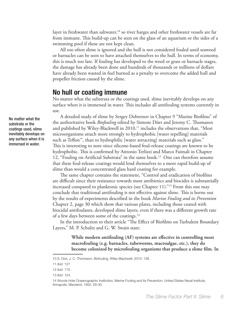layer in freshwater than saltwater,<sup>10</sup> so river barges and other freshwater vessels are far from immune. This build-up can be seen on the glass of an aquarium or the sides of a swimming pool if these are not kept clean.

All too often slime is ignored and the hull is not considered fouled until seaweed or barnacles can be seen to have attached themselves to the hull. In terms of economy, this is much too late. If fouling has developed to the weed or grass or barnacle stages, the damage has already been done and hundreds of thousands or millions of dollars have already been wasted in fuel burned as a penalty to overcome the added hull and propeller friction caused by the slime.

#### **No hull or coating immune**

No matter what the substrata or the coatings used, slime inevitably develops on any surface when it is immersed in water. This includes all antifouling systems currently in use.

A detailed study of slime by Sergey Dobretsov in Chapter 9 "Marine Biofilms" of the authoritative book *Biofouling* edited by Simone Dürr and Jeremy C. Thomason and published by Wiley-Blackwell in 2010,<sup>11</sup> includes the observations that, "Most microorganisms attach more strongly to hydrophobic [water repelling] materials such as Teflon™, than to hydrophilic [water attracting] materials such as glass." This is interesting to note since silicone-based foul-release coatings are known to be hydrophobic. This is confirmed by Antonio Terlizzi and Marco Faimali in Chapter 12, "Fouling on Artificial Substrata" in the same book.<sup>12</sup> One can therefore assume that these foul-release coatings would lend themselves to a more rapid build-up of slime than would a concentrated glass hard coating for example.

The same chapter contains the statement, "Control and eradication of biofilms are difficult since their resistance towards most antibiotics and biocides is substantially increased compared to planktonic species (see Chapter 11)."13 From this one may conclude that traditional antifouling is not effective against slime. This is borne out by the results of experiments described in the book *Marine Fouling and its Prevention* Chapter 2, page 30 which show that various plates, including those coated with biocidal antifoulants, developed slime layers, even if there was a different growth rate of a few days between some of the coatings.14

In the introduction to their article "The Effect of Biofilms on Turbulent Boundary Layers," M. P. Schultz and G. W. Swain state:

> **While modern antifouling (AF) systems are effective in controlling most macrofouling (e.g. barnacles, tubeworms, macroalgae, etc.), they do become colonized by microfouling organisms that produce a slime film. In**

substrata or the coatings used, slime inevitably develops on any surface when it is immersed in water.

No matter what the

<sup>10</sup> S. Dürr, J. C. Thomason, Biofouling, Wiley-Blackwell, 2010: 138.

<sup>11</sup> *Ibid*. 127.

<sup>12</sup> *Ibid*. 170.

<sup>13</sup> *Ibid*. 124.

<sup>14</sup> Woods Hole Oceanographic Institution, Marine Fouling and Its Prevention, United States Naval Institute, Annapolis, Maryland, 1952: 29-30.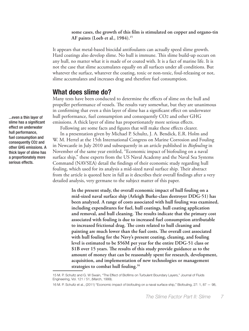#### **some cases, the growth of this film is stimulated on copper and organo-tin AF paints (Loeb et al., 1984).15**

It appears that metal-based biocidal antifoulants can actually speed slime growth. Hard coatings also develop slime. No hull is immune. This slime build-up occurs on any hull, no matter what it is made of or coated with. It is a fact of marine life. It is not the case that slime accumulates equally on all surfaces under all conditions. But whatever the surface, whatever the coating, toxic or non-toxic, foul-releasing or not, slime accumulates and increases drag and therefore fuel consumption.

#### **What does slime do?**

Many tests have been conducted to determine the effects of slime on the hull and propeller performance of vessels. The results vary somewhat, but they are unanimous in confirming that even a thin layer of slime has a significant effect on underwater hull performance, fuel consumption and consequently CO2 and other GHG emissions. A thick layer of slime has proportionately more serious effects.

Following are some facts and figures that will make these effects clearer. In a presentation given by Michael P. Schultz, J. A. Bendick, E.R. Holm and W. M. Hertel at the 15th International Congress on Marine Corrosion and Fouling in Newcastle in July 2010 and subsequently in an article published in *Biofouling* in November of the same year entitled, "Economic impact of biofouling on a naval surface ship," these experts from the US Naval Academy and the Naval Sea Systems Command (NAVSEA) detail the findings of their economic study regarding hull fouling, which used for its analysis a mid-sized naval surface ship. Their abstract from the article is quoted here in full as it describes their overall findings after a very detailed analysis, very germane to the subject matter of this paper.

> **In the present study, the overall economic impact of hull fouling on a mid-sized naval surface ship (Arleigh Burke-class destroyer DDG-51) has been analyzed. A range of costs associated with hull fouling was examined, including expenditures for fuel, hull coatings, hull coating application and removal, and hull cleaning. The results indicate that the primary cost associated with fouling is due to increased fuel consumption attributable to increased frictional drag. The costs related to hull cleaning and painting are much lower than the fuel costs. The overall cost associated with hull fouling for the Navy's present coating, cleaning, and fouling level is estimated to be \$56M per year for the entire DDG-51 class or \$1B over 15 years. The results of this study provide guidance as to the amount of money that can be reasonably spent for research, development, acquisition, and implementation of new technologies or management strategies to combat hull fouling.16**

...even a thin layer of slime has a significant effect on underwater hull performance, fuel consumption and consequently CO2 and other GHG emissions. A thick layer of slime has a proportionately more serious effects.

<sup>15</sup> M. P. Schultz and G. W Swain, "The Effect of Biofilms on Turbulent Boundary Layers," Journal of Fluids Engineering, Vol. 121 / 51, (March, 1999).

<sup>16</sup> M. P. Schultz et al., (2011) "Economic impact of biofouling on a naval surface ship," Biofouling, 27: 1, 87 — 98,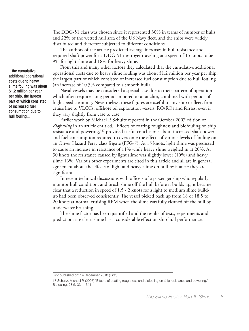The DDG-51 class was chosen since it represented 30% in terms of number of hulls and 22% of the wetted hull area of the US Navy fleet, and the ships were widely distributed and therefore subjected to different conditions.

The authors of the article predicted average increases in hull resistance and required shaft power for a DDG-51 destroyer traveling at a speed of 15 knots to be 9% for light slime and 18% for heavy slime.

From this and many other factors they calculated that the cumulative additional operational costs due to heavy slime fouling was about \$1.2 million per year per ship, the largest part of which consisted of increased fuel consumption due to hull fouling (an increase of 10.3% compared to a smooth hull).

Naval vessels may be considered a special case due to their pattern of operation which often requires long periods moored or at anchor, combined with periods of high speed steaming. Nevertheless, these figures are useful to any ship or fleet, from cruise line to VLCCs, offshore oil exploration vessels, RO/ROs and ferries, even if they vary slightly from case to case.

Earlier work by Michael P. Schultz reported in the October 2007 edition of *Biofouling* in an article entitled, "Effects of coating roughness and biofouling on ship resistance and powering,"17 provided useful conclusions about increased shaft power and fuel consumption required to overcome the effects of various levels of fouling on an Oliver Hazard Perry class frigate (FFG-7). At 15 knots, light slime was predicted to cause an increase in resistance of 11% while heavy slime weighed in at 20%. At 30 knots the resistance caused by light slime was slightly lower (10%) and heavy slime 16%. Various other experiments are cited in this article and all are in general agreement about the effects of light and heavy slime on hull resistance: they are significant.

In recent technical discussions with officers of a passenger ship who regularly monitor hull condition, and brush slime off the hull before it builds up, it became clear that a reduction in speed of 1.5 - 2 knots for a light to medium slime buildup had been observed consistently. The vessel picked back up from 18 or 18.5 to 20 knots at normal cruising RPM when the slime was fully cleaned off the hull by underwater brushing.

The slime factor has been quantified and the results of tests, experiments and predictions are clear: slime has a considerable effect on ship hull performance.

...the cumulative additional operational costs due to heavy slime fouling was about \$1.2 million per year per ship, the largest part of which consisted of increased fuel consumption due to hull fouling...

First published on: 14 December 2010 (iFirst)

<sup>17</sup> Schultz, Michael P. (2007) "Effects of coating roughness and biofouling on ship resistance and powering," Biofouling, 23:5, 331 - 341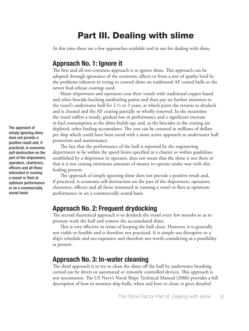## Part III. Dealing with slime

At this time there are a few approaches available and in use for dealing with slime.

#### **Approach No. 1: Ignore it**

The first and all-too-common approach is to ignore slime. This approach can be adopted through ignorance of the economic effects or from a sort of apathy bred by the problems inherent in trying to control slime on traditional AF coated hulls or the newer foul-release coatings used.

Many shipowners and operators coat their vessels with traditional copper-based and other biocide-leaching antifouling paints and then pay no further attention to the vessel's underwater hull for  $2 \frac{1}{2}$  or 3 years, at which point she returns to drydock and is cleaned and the AF coating partially or wholly renewed. In the meantime the vessel suffers a steady, gradual loss in performance and a significant increase in fuel consumption as the slime builds up; and, as the biocides in the coating are depleted, other fouling accumulates. The cost can be counted in millions of dollars per ship which could have been saved with a more active approach to underwater hull protection and maintenance.

The fact that the performance of the hull is reported by the engineering department to be within the speed limits specified in a charter or within guidelines established by a shipowner or operator, does not mean that the slime is not there or that it is not costing enormous amounts of money to operate under way with this fouling present.

The approach of simply ignoring slime does not provide a positive result and, if practiced, is economic self-destruction on the part of the shipowners, operators, charterers, officers and all those interested in running a vessel or fleet at optimum performance or on a commercially sound basis.

#### **Approach No. 2: Frequent drydocking**

The second theoretical approach is to drydock the vessel every few months so as to pressure wash the hull and remove the accumulated slime.

This is very effective in terms of keeping the hull clean. However, it is generally not viable or feasible and is therefore not practiced. It is simply too disruptive to a ship's schedule and too expensive and therefore not worth considering as a possibility at present.

#### **Approach No. 3: In-water cleaning**

The third approach is to try to clean the slime off the hull by underwater brushing carried out by divers or automated or remotely controlled devices. This approach is not uncommon. The US Navy's Naval Ships' Technical Manual (2006) provides a full description of how to monitor ship hulls, when and how to clean; it gives detailed

The approach of simply ignoring slime does not provide a positive result and, if practiced, is economic self-destruction on the part of the shipowners, operators, charterers, officers and all those interested in running a vessel or fleet at optimum performance or on a commercially sound basis.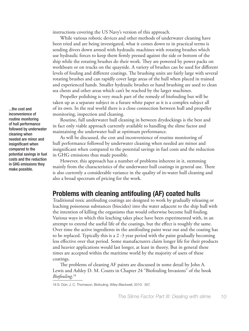instructions covering the US Navy's version of this approach.

While various robotic devices and other methods of underwater cleaning have been tried and are being investigated, what it comes down to in practical terms is sending divers down armed with hydraulic machines with rotating brushes which use hydraulic forces to keep them firmly pressed against the side or bottom of the ship while the rotating brushes do their work. They are powered by power packs on workboats or on trucks on the quayside. A variety of brushes can be used for different levels of fouling and different coatings. The brushing units are fairly large with several rotating brushes and can rapidly cover large areas of the hull when placed in trained and experienced hands. Smaller hydraulic brushes or hand brushing are used to clean sea chests and other areas which can't be reached by the larger machines.

Propeller polishing is very much part of the remedy of biofouling but will be taken up as a separate subject in a future white paper as it is a complex subject all of its own. In the real world there is a close connection between hull and propeller monitoring, inspection and cleaning.

Routine, full underwater hull cleaning in between drydockings is the best and in fact only viable approach currently available to handling the slime factor and maintaining the underwater hull at optimum performance.

As will be discussed, the cost and inconvenience of routine monitoring of hull performance followed by underwater cleaning when needed are minor and insignificant when compared to the potential savings in fuel costs and the reduction in GHG emissions thus made possible.

However, this approach has a number of problems inherent in it, stemming mainly from the characteristics of the underwater hull coatings in general use. There is also currently a considerable variance in the quality of in-water hull cleaning and also a broad spectrum of pricing for the work.

#### **Problems with cleaning antifouling (AF) coated hulls**

Traditional toxic antifouling coatings are designed to work by gradually releasing or leaching poisonous substances (biocides) into the water adjacent to the ship hull with the intention of killing the organisms that would otherwise become hull fouling. Various ways in which this leaching takes place have been experimented with, in an attempt to extend the useful life of the coatings, but the effect is roughly the same. Over time the active ingredients in the antifouling paint wear out and the coating has to be replaced. Typically this is a 2 -3 year period with the paint gradually becoming less effective over that period. Some manufacturers claim longer life for their products and heavier applications would last longer, at least in theory. But in general these times are accepted within the maritime world by the majority of users of these coatings.

The problems of cleaning AF paints are discussed in some detail by John A. Lewis and Ashley D. M. Coutts in Chapter 24 "Biofouling Invasions" of the book *Biofouling*. 18

...the cost and inconvenience of routine monitoring of hull performance followed by underwater cleaning when needed are minor and insignificant when compared to the potential savings in fuel costs and the reduction in GHG emissions they make possible.

<sup>18</sup> S. Dürr, J. C. Thomason, Biofouling, Wiley-Blackwell, 2010: 357.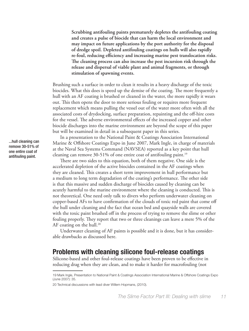**Scrubbing antifouling paints prematurely depletes the antifouling coating and creates a pulse of biocide that can harm the local environment and may impact on future applications by the port authority for the disposal of dredge spoil. Depleted antifouling coatings on hulls will also rapidly re-foul, reducing efficiency and increasing marine pest translocation risks. The cleaning process can also increase the pest incursion risk through the release and dispersal of viable plant and animal fragments, or through stimulation of spawning events.**

Brushing such a surface in order to clean it results in a heavy discharge of the toxic biocides. What this does is speed up the demise of the coating. The more frequently a hull with an AF coating is brushed or cleaned in the water, the more rapidly it wears out. This then opens the door to more serious fouling or requires more frequent replacement which means pulling the vessel out of the water more often with all the associated costs of drydocking, surface preparation, repainting and the off-hire costs for the vessel. The adverse environmental effects of the increased copper and other biocide discharges into the marine environment are beyond the scope of this paper but will be examined in detail in a subsequent paper in this series.

In a presentation to the National Paint & Coatings Association International Marine & Offshore Coatings Expo in June 2007, Mark Ingle, in charge of materials at the Naval Sea Systems Command (NAVSEA) reported as a key point that hull cleaning can remove 30-51% of one entire coat of antifouling paint.<sup>19</sup>

There are two sides to this equation, both of them negative. One side is the accelerated depletion of the active biocides contained in the AF coatings when they are cleaned. This creates a short term improvement in hull performance but a medium to long term degradation of the coating's performance. The other side is that this massive and sudden discharge of biocides caused by cleaning can be acutely harmful to the marine environment where the cleaning is conducted. This is not theoretical. One need only talk to divers who perform underwater cleaning on copper-based AFs to have confirmation of the clouds of toxic red paint that come off the hull under cleaning and the fact that ocean bed and quayside walls are covered with the toxic paint brushed off in the process of trying to remove the slime or other fouling properly. They report that two or three cleanings can leave a mere 5% of the AF coating on the hull.<sup>20</sup>

Underwater cleaning of AF paints is possible and it is done, but it has considerable drawbacks as discussed here.

#### **Problems with cleaning silicone foul-release coatings**

Silicone-based and other foul-release coatings have been proven to be effective in reducing drag when they are clean, and to make it harder for macrofouling (not

...hull cleaning can remove 30-51% of one entire coat of antifouling paint.

<sup>19</sup> Mark Ingle, Presentation to National Paint & Coatings Association International Marine & Offshore Coatings Expo (June 2007): 35.

<sup>20</sup> Technical discussions with lead diver Willem Hopmans, (2010).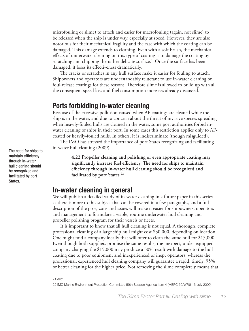microfouling or slime) to attach and easier for macrofouling (again, not slime) to be released when the ship is under way, especially at speed. However, they are also notorious for their mechanical fragility and the ease with which the coating can be damaged. This damage extends to cleaning. Even with a soft brush, the mechanical effects of underwater cleaning on this type of coating is to damage the coating by scratching and chipping the rather delicate surface.<sup>21</sup> Once the surface has been damaged, it loses its effectiveness dramatically.

The cracks or scratches in any hull surface make it easier for fouling to attach. Shipowners and operators are understandably reluctant to use in-water cleaning on foul-release coatings for these reasons. Therefore slime is allowed to build up with all the consequent speed loss and fuel consumption increases already discussed.

#### **Ports forbidding in-water cleaning**

Because of the excessive pollution caused when AF coatings are cleaned while the ship is in the water, and due to concern about the threat of invasive species spreading when heavily-fouled hulls are cleaned in the water, some port authorities forbid inwater cleaning of ships in their port. In some cases this restriction applies only to AFcoated or heavily-fouled hulls. In others, it is indiscriminate (though misguided).

The IMO has stressed the importance of port States recognizing and facilitating in-water hull cleaning (2009):

> **4.22 Propeller cleaning and polishing or even appropriate coating may significantly increase fuel efficiency. The need for ships to maintain efficiency through in-water hull cleaning should be recognized and facilitated by port States.22**

#### **In-water cleaning in general**

We will publish a detailed study of in-water cleaning in a future paper in this series as there is more to this subject that can be covered in a few paragraphs, and a full description of the pros, cons and issues will make it easier for shipowners, operators and management to formulate a viable, routine underwater hull cleaning and propeller polishing program for their vessels or fleets.

It is important to know that all hull cleaning is not equal. A thorough, complete, professional cleaning of a large ship hull might cost \$30,000, depending on location. One might find a company locally that will offer to clean the same hull for \$15,000. Even though both suppliers promise the same results, the inexpert, under-equipped company charging the \$15,000 may produce a 30% result with damage to the hull coating due to poor equipment and inexperienced or inept operators; whereas the professional, experienced hull cleaning company will guarantee a rapid, timely, 95% or better cleaning for the higher price. Not removing the slime completely means that

The need for ships to maintain efficiency through in-water hull cleaning should be recognized and facilitated by port States.

<sup>21</sup> *Ibid.*

<sup>22</sup> IMO Marine Environment Protection Committee 59th Session Agenda item 4 (MEPC 59/WP.8 16 July 2009).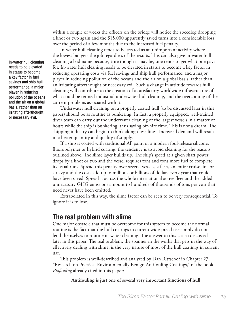within a couple of weeks the officers on the bridge will notice the speedlog dropping a knot or two again and the \$15,000 apparently saved turns into a considerable loss over the period of a few months due to the increased fuel penalty.

In-water hull cleaning tends to be treated as an unimportant activity where the lowest bid gets the job regardless of the results. This can also give in-water hull cleaning a bad name because, trite though it may be, one tends to get what one pays for. In-water hull cleaning needs to be elevated in status to become a key factor in reducing operating costs via fuel savings and ship hull performance, and a major player in reducing pollution of the oceans and the air on a global basis, rather than an irritating afterthought or necessary evil. Such a change in attitude towards hull cleaning will contribute to the creation of a satisfactory worldwide infrastructure of what could be termed industrial underwater hull cleaning, and the overcoming of the current problems associated with it.

Underwater hull cleaning on a properly coated hull (to be discussed later in this paper) should be as routine as bunkering. In fact, a properly equipped, well-trained diver team can carry out the underwater cleaning of the largest vessels in a matter of hours while the ship is bunkering, thus saving off-hire time. This is not a dream. The shipping industry can begin to think along these lines. Increased demand will result in a better quantity and quality of supply.

If a ship is coated with traditional AF paint or a modern foul-release silicone, fluoropolymer or hybrid coating, the tendency is to avoid cleaning for the reasons outlined above. The slime layer builds up. The ship's speed at a given shaft power drops by a knot or two and the vessel requires tons and tons more fuel to complete its usual runs. Spread this penalty over several vessels, a fleet, an entire cruise line or a navy and the costs add up to millions or billions of dollars every year that could have been saved. Spread it across the whole international active fleet and the added unnecessary GHG emissions amount to hundreds of thousands of tons per year that need never have been emitted.

Extrapolated in this way, the slime factor can be seen to be very consequential. To ignore it is to lose.

#### **The real problem with slime**

One major obstacle that must be overcome for this system to become the normal routine is the fact that the hull coatings in current widespread use simply do not lend themselves to routine in-water cleaning. The answer to this is also discussed later in this paper. The real problem, the spanner in the works that gets in the way of effectively dealing with slime, is the very nature of most of the hull coatings in current use.

This problem is well-described and analyzed by Dan Rittschof in Chapter 27, "Research on Practical Environmentally Benign Antifouling Coatings," of the book *Biofouling* already cited in this paper:

**Antifouling is just one of several very important functions of hull** 

In-water hull cleaning needs to be elevated in status to become a key factor in fuel savings and ship hull performance, a major player in reducing pollution of the oceans and the air on a global basis, rather than an irritating afterthought or necessary evil.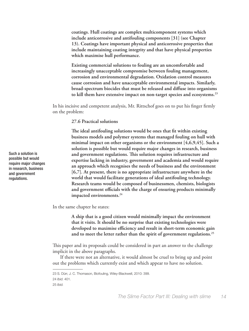**coatings. Hull coatings are complex multicomponent systems which include anticorrosive and antifouling components [31] (see Chapter 13). Coatings have important physical and anticorrosive properties that include maintaining coating integrity and that have physical properties which maximise hull performance.** 

**Existing commercial solutions to fouling are an uncomfortable and increasingly unacceptable compromise between fouling management, corrosion and environmental degradation. Oxidation control measures cause corrosion and have unacceptable environmental impacts. Similarly, broad-spectrum biocides that must be released and diffuse into organisms to kill them have extensive impact on non-target species and ecosystems.23**

In his incisive and competent analysis, Mr. Rittschof goes on to put his finger firmly on the problem:

**27.6 Practical solutions**

**The ideal antifouling solutions would be ones that fit within existing business models and polymer systems that managed fouling on hull with minimal impact on other organisms or the environment [4,6,9,45]. Such a solution is possible but would require major changes in research, business and government regulations. This solution requires infrastructure and expertise lacking in industry, government and academia and would require an approach which recognises the needs of business and the environment [6,7]. At present, there is no appropriate infrastructure anywhere in the world that would facilitate generations of ideal antifouling technology. Research teams would be composed of businessmen, chemists, biologists and government officials with the charge of ensuring products minimally impacted environments.24**

In the same chapter he states:

**A ship that is a good citizen would minimally impact the environment that it visits. It should be no surprise that existing technologies were developed to maximise efficiency and result in short-term economic gain and to meet the letter rather than the spirit of government regulations.25**

This paper and its proposals could be considered in part an answer to the challenge implicit in the above paragraphs.

If there were not an alternative, it would almost be cruel to bring up and point out the problems which currently exist and which appear to have no solution.

Such a solution is possible but would require major changes in research, business and government regulations.

<sup>23</sup> S. Dürr, J. C. Thomason, Biofouling, Wiley-Blackwell, 2010: 399.

<sup>24</sup> *Ibid.* 401.

<sup>25</sup> *Ibid.*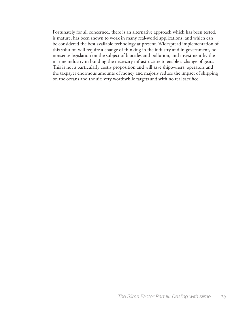Fortunately for all concerned, there is an alternative approach which has been tested, is mature, has been shown to work in many real-world applications, and which can be considered the best available technology at present. Widespread implementation of this solution will require a change of thinking in the industry and in government, nononsense legislation on the subject of biocides and pollution, and investment by the marine industry in building the necessary infrastructure to enable a change of gears. This is not a particularly costly proposition and will save shipowners, operators and the taxpayer enormous amounts of money and majorly reduce the impact of shipping on the oceans and the air: very worthwhile targets and with no real sacrifice.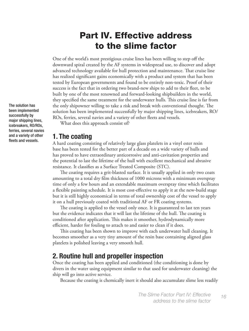### Part IV. Effective address to the slime factor

One of the world's most prestigious cruise lines has been willing to step off the downward spiral created by the AF systems in widespread use, to discover and adopt advanced technology available for hull protection and maintenance. That cruise line has realized significant gains economically with a product and system that has been tested by European governments and found to be entirely non-toxic. Proof of their success is the fact that in ordering two brand-new ships to add to their fleet, to be built by one of the most renowned and forward-looking shipbuilders in the world, they specified the same treatment for the underwater hulls. This cruise line is far from the only shipowner willing to take a risk and break with conventional thought. The solution has been implemented successfully by major shipping lines, icebreakers, RO/ ROs, ferries, several navies and a variety of other fleets and vessels.

What does this approach consist of?

#### **1. The coating**

A hard coating consisting of relatively large glass platelets in a vinyl ester resin base has been tested for the better part of a decade on a wide variety of hulls and has proved to have extraordinary anticorrosive and anti-cavitation properties and the potential to last the lifetime of the hull with excellent mechanical and abrasive resistance. It classifies as a Surface Treated Composite (STC).

The coating requires a grit-blasted surface. It is usually applied in only two coats amounting to a total dry film thickness of 1000 microns with a minimum overspray time of only a few hours and an extendable maximum overspray time which facilitates a flexible painting schedule. It is most cost-effective to apply it at the new-build stage but it is still highly economical in terms of total ownership cost of the vessel to apply it on a hull previously coated with traditional AF or FR coating systems.

The coating is applied to the vessel only once. It is guaranteed to last ten years but the evidence indicates that it will last the lifetime of the hull. The coating is conditioned after application. This makes it smoother, hydrodynamically more efficient, harder for fouling to attach to and easier to clean if it does.

This coating has been shown to improve with each underwater hull cleaning. It becomes smoother as a very tiny amount of the resin base containing aligned glass platelets is polished leaving a very smooth hull.

#### **2. Routine hull and propeller inspection**

Once the coating has been applied and conditioned (the conditioning is done by divers in the water using equipment similar to that used for underwater cleaning) the ship will go into active service.

Because the coating is chemically inert it should also accumulate slime less readily

The solution has been implemented successfully by major shipping lines, icebreakers, RO/ROs, ferries, several navies and a variety of other fleets and vessels.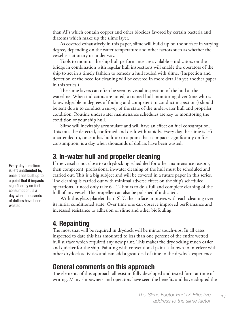than AFs which contain copper and other biocides favored by certain bacteria and diatoms which make up the slime layer.

As covered exhaustively in this paper, slime will build up on the surface in varying degree, depending on the water temperature and other factors such as whether the vessel is stationary or under way.

Tools to monitor the ship hull performance are available – indicators on the bridge in combination with regular hull inspections will enable the operators of the ship to act in a timely fashion to remedy a hull fouled with slime. (Inspection and detection of the need for cleaning will be covered in more detail in yet another paper in this series.)

The slime layers can often be seen by visual inspection of the hull at the waterline. When indicators are noted, a trained hull-monitoring diver (one who is knowledgeable in degrees of fouling and competent to conduct inspections) should be sent down to conduct a survey of the state of the underwater hull and propeller condition. Routine underwater maintenance schedules are key to monitoring the condition of your ship hull.

Slime will inevitably accumulate and will have an effect on fuel consumption. This must be detected, confirmed and dealt with rapidly. Every day the slime is left unattended to, once it has built up to a point that it impacts significantly on fuel consumption, is a day when thousands of dollars have been wasted.

#### **3. In-water hull and propeller cleaning**

If the vessel is not close to a drydocking scheduled for other maintenance reasons, then competent, professional in-water cleaning of the hull must be scheduled and carried out. This is a big subject and will be covered in a future paper in this series. The cleaning is carried out with minimal adverse effect on the ship's scheduled operations. It need only take 6 - 12 hours to do a full and complete cleaning of the hull of any vessel. The propeller can also be polished if indicated.

With this glass-platelet, hard STC the surface improves with each cleaning over its initial conditioned state. Over time one can observe improved performance and increased resistance to adhesion of slime and other biofouling.

#### **4. Repainting**

The most that will be required in drydock will be minor touch-ups. In all cases inspected to date this has amounted to less than one percent of the entire wetted hull surface which required any new paint. This makes the drydocking much easier and quicker for the ship. Painting with conventional paint is known to interfere with other drydock activities and can add a great deal of time to the drydock experience.

#### **General comments on this approach**

The elements of this approach all exist in fully developed and tested form at time of writing. Many shipowners and operators have seen the benefits and have adopted the

Every day the slime is left unattended to, once it has built up to a point that it impacts significantly on fuel consumption, is a day when thousands of dollars have been wasted.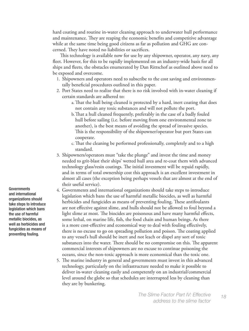hard coating and routine in-water cleaning approach to underwater hull performance and maintenance. They are reaping the economic benefits and competitive advantage while at the same time being good citizens as far as pollution and GHG are concerned. They have noted no liabilities or sacrifices.

This technology is available now for use by any shipowner, operator, any navy, any fleet. However, for this to be rapidly implemented on an industry-wide basis for all ships and fleets, the obstacles enumerated by Dan Rittschof as outlined above need to be exposed and overcome.

- 1. Shipowners and operators need to subscribe to the cost saving and environmentally beneficial procedures outlined in this paper.
- 2. Port States need to realize that there is no risk involved with in-water cleaning if certain standards are adhered to:
	- a.That the hull being cleaned is protected by a hard, inert coating that does not contain any toxic substances and will not pollute the port.
	- b.That a hull cleaned frequently, preferably in the case of a badly fouled hull before sailing (i.e. before moving from one environmental zone to another), is the best means of avoiding the spread of invasive species. This is the responsibility of the shipowner/operator but port States can cooperate.
	- c.That the cleaning be performed professionally, completely and to a high standard.
- 3. Shipowners/operators must "take the plunge" and invest the time and money needed to grit-blast their ships' wetted hull area and re-coat them with advanced technology glass/resin coatings. The initial investment will be repaid rapidly, and in terms of total ownership cost this approach is an excellent investment in almost all cases (the exception being perhaps vessels that are almost at the end of their useful service).
- 4. Governments and international organizations should take steps to introduce legislation which bans the use of harmful metallic biocides, as well as harmful herbicides and fungicides as means of preventing fouling. These antifoulants are not effective against slime, and hulls should not be allowed to foul beyond a light slime at most. The biocides are poisonous and have many harmful effects, some lethal, on marine life, fish, the food chain and human beings. As there is a more cost-effective and economical way to deal with fouling effectively, there is no excuse to go on spreading pollution and poison. The coating applied to any vessel's hull should be inert and not leach or dispel any sort of toxic substances into the water. There should be no compromise on this. The apparent commercial interests of shipowners are no excuse to continue poisoning the oceans, since the non-toxic approach is more economical than the toxic one.
- 5. The marine industry in general and governments must invest in this advanced technology, particularly on the infrastructure needed to make it possible to deliver in-water cleaning easily and competently on an industrial/commercial level around the globe so that schedules are interrupted less by cleaning than they are by bunkering.

Governments and international organizations should take steps to introduce legislation which bans the use of harmful metallic biocides, as well as herbicides and fungicides as means of preventing fouling.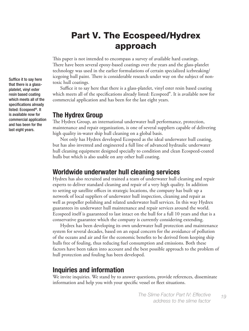## Part V. The Ecospeed/Hydrex approach

This paper is not intended to encompass a survey of available hard coatings. There have been several epoxy-based coatings over the years and the glass-platelet technology was used in the earlier formulations of certain specialized icebreaking/ icegoing hull paint. There is considerable research under way on the subject of nontoxic hull coatings.

Suffice it to say here that there is a glass-platelet, vinyl ester resin based coating which meets all of the specifications already listed: Ecospeed®. It is available now for commercial application and has been for the last eight years.

#### **The Hydrex Group**

The Hydrex Group, an international underwater hull performance, protection, maintenance and repair organization, is one of several suppliers capable of delivering high quality in-water ship hull cleaning on a global basis.

Not only has Hydrex developed Ecospeed as the ideal underwater hull coating, but has also invented and engineered a full line of advanced hydraulic underwater hull cleaning equipment designed specially to condition and clean Ecospeed-coated hulls but which is also usable on any other hull coating.

#### **Worldwide underwater hull cleaning services**

Hydrex has also recruited and trained a team of underwater hull cleaning and repair experts to deliver standard cleaning and repair of a very high quality. In addition to setting up satellite offices in strategic locations, the company has built up a network of local suppliers of underwater hull inspection, cleaning and repair as well as propeller polishing and related underwater hull services. In this way Hydrex guarantees its underwater hull maintenance and repair services around the world. Ecospeed itself is guaranteed to last intact on the hull for a full 10 years and that is a conservative guarantee which the company is currently considering extending.

Hydrex has been developing its own underwater hull protection and maintenance system for several decades, based on an equal concern for the avoidance of pollution of the oceans and air and for the economic benefits to be derived from keeping ship hulls free of fouling, thus reducing fuel consumption and emissions. Both these factors have been taken into account and the best possible approach to the problem of hull protection and fouling has been developed.

### **Inquiries and information**

We invite inquiries. We stand by to answer questions, provide references, disseminate information and help you with your specific vessel or fleet situations.

Suffice it to say here that there is a glassplatelet, vinyl ester resin based coating which meets all of the specifications already listed: Ecospeed®. It is available now for commercial application and has been for the last eight years.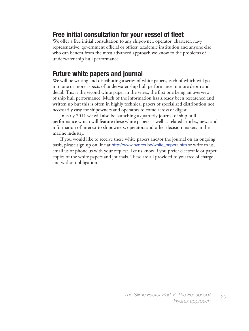### **Free initial consultation for your vessel of fleet**

We offer a free initial consultation to any shipowner, operator, charterer, navy representative, government official or officer, academic institution and anyone else who can benefit from the most advanced approach we know to the problems of underwater ship hull performance.

### **Future white papers and journal**

We will be writing and distributing a series of white papers, each of which will go into one or more aspects of underwater ship hull performance in more depth and detail. This is the second white paper in the series, the first one being an overview of ship hull performance. Much of the information has already been researched and written up but this is often in highly technical papers of specialized distribution not necessarily easy for shipowners and operators to come across or digest.

In early 2011 we will also be launching a quarterly journal of ship hull performance which will feature these white papers as well as related articles, news and information of interest to shipowners, operators and other decision makers in the marine industry.

If you would like to receive these white papers and/or the journal on an ongoing basis, please sign up on line at [http://www.hydrex.be/white\\_papers.htm](http://www.hydrex.be/white_papers.htm) or write to us, email us or phone us with your request. Let us know if you prefer electronic or paper copies of the white papers and journals. These are all provided to you free of charge and without obligation.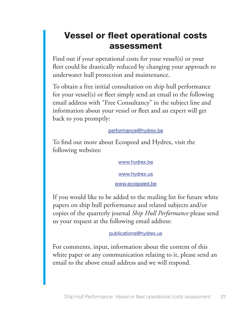## Vessel or fleet operational costs assessment

Find out if your operational costs for your vessel(s) or your fleet could be drastically reduced by changing your approach to underwater hull protection and maintenance.

To obtain a free initial consultation on ship hull performance for your vessel(s) or fleet simply send an email to the following email address with "Free Consultancy" in the subject line and information about your vessel or fleet and an expert will get back to you promptly:

#### performance@hydrex.be

To find out more about Ecospeed and Hydrex, visit the following websites:

#### [www.hydrex.be](http://www.hydrex.us)

[www.hydrex.us](http://www.hydrex.us)

#### www.ecospeed.be

If you would like to be added to the mailing list for future white papers on ship hull performance and related subjects and/or copies of the quarterly journal *Ship Hull Performance* please send us your request at the following email address:

publications@hydrex.us

For comments, input, information about the content of this white paper or any communication relating to it, please send an email to the above email address and we will respond.